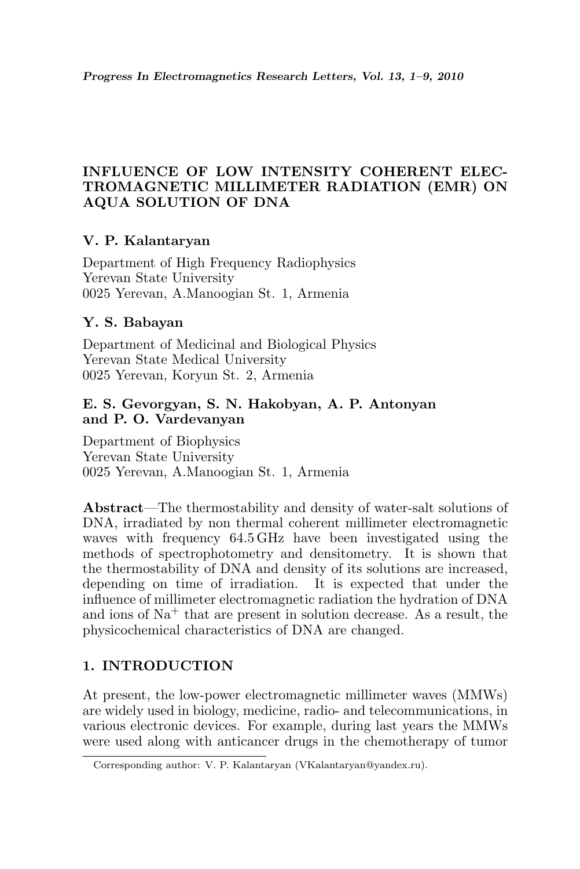## INFLUENCE OF LOW INTENSITY COHERENT ELEC-TROMAGNETIC MILLIMETER RADIATION (EMR) ON AQUA SOLUTION OF DNA

## V. P. Kalantaryan

Department of High Frequency Radiophysics Yerevan State University 0025 Yerevan, A.Manoogian St. 1, Armenia

## Y. S. Babayan

Department of Medicinal and Biological Physics Yerevan State Medical University 0025 Yerevan, Koryun St. 2, Armenia

### E. S. Gevorgyan, S. N. Hakobyan, A. P. Antonyan and P. O. Vardevanyan

Department of Biophysics Yerevan State University 0025 Yerevan, A.Manoogian St. 1, Armenia

Abstract—The thermostability and density of water-salt solutions of DNA, irradiated by non thermal coherent millimeter electromagnetic waves with frequency 64.5 GHz have been investigated using the methods of spectrophotometry and densitometry. It is shown that the thermostability of DNA and density of its solutions are increased, depending on time of irradiation. It is expected that under the influence of millimeter electromagnetic radiation the hydration of DNA and ions of  $Na<sup>+</sup>$  that are present in solution decrease. As a result, the physicochemical characteristics of DNA are changed.

# 1. INTRODUCTION

At present, the low-power electromagnetic millimeter waves (MMWs) are widely used in biology, medicine, radio- and telecommunications, in various electronic devices. For example, during last years the MMWs were used along with anticancer drugs in the chemotherapy of tumor

Corresponding author: V. P. Kalantaryan (VKalantaryan@yandex.ru).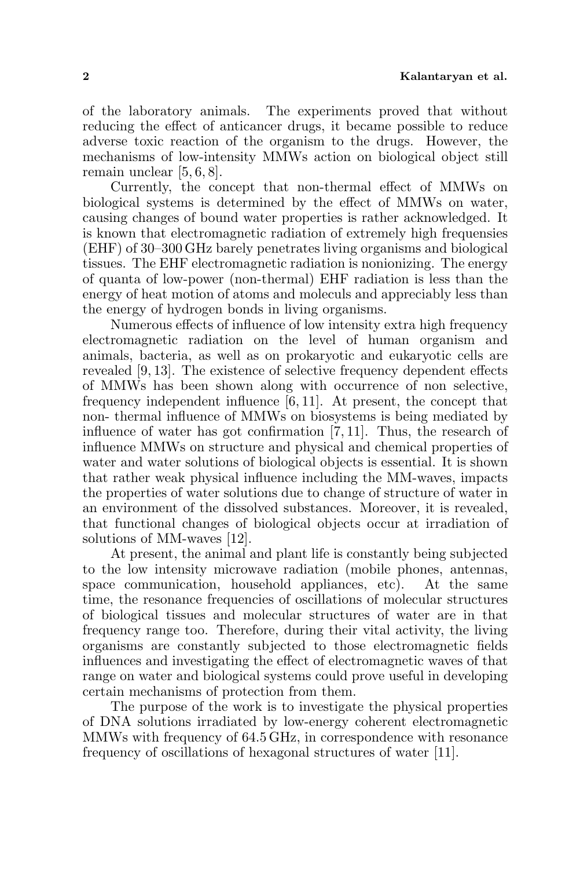of the laboratory animals. The experiments proved that without reducing the effect of anticancer drugs, it became possible to reduce adverse toxic reaction of the organism to the drugs. However, the mechanisms of low-intensity MMWs action on biological object still remain unclear [5, 6, 8].

Currently, the concept that non-thermal effect of MMWs on biological systems is determined by the effect of MMWs on water, causing changes of bound water properties is rather acknowledged. It is known that electromagnetic radiation of extremely high frequensies (EHF) of 30–300 GHz barely penetrates living organisms and biological tissues. The EHF electromagnetic radiation is nonionizing. The energy of quanta of low-power (non-thermal) EHF radiation is less than the energy of heat motion of atoms and moleculs and appreciably less than the energy of hydrogen bonds in living organisms.

Numerous effects of influence of low intensity extra high frequency electromagnetic radiation on the level of human organism and animals, bacteria, as well as on prokaryotic and eukaryotic cells are revealed [9, 13]. The existence of selective frequency dependent effects of MMWs has been shown along with occurrence of non selective, frequency independent influence [6, 11]. At present, the concept that non- thermal influence of MMWs on biosystems is being mediated by influence of water has got confirmation [7, 11]. Thus, the research of influence MMWs on structure and physical and chemical properties of water and water solutions of biological objects is essential. It is shown that rather weak physical influence including the MM-waves, impacts the properties of water solutions due to change of structure of water in an environment of the dissolved substances. Moreover, it is revealed, that functional changes of biological objects occur at irradiation of solutions of MM-waves [12].

At present, the animal and plant life is constantly being subjected to the low intensity microwave radiation (mobile phones, antennas, space communication, household appliances, etc). At the same time, the resonance frequencies of oscillations of molecular structures of biological tissues and molecular structures of water are in that frequency range too. Therefore, during their vital activity, the living organisms are constantly subjected to those electromagnetic fields influences and investigating the effect of electromagnetic waves of that range on water and biological systems could prove useful in developing certain mechanisms of protection from them.

The purpose of the work is to investigate the physical properties of DNA solutions irradiated by low-energy coherent electromagnetic MMWs with frequency of 64.5 GHz, in correspondence with resonance frequency of oscillations of hexagonal structures of water [11].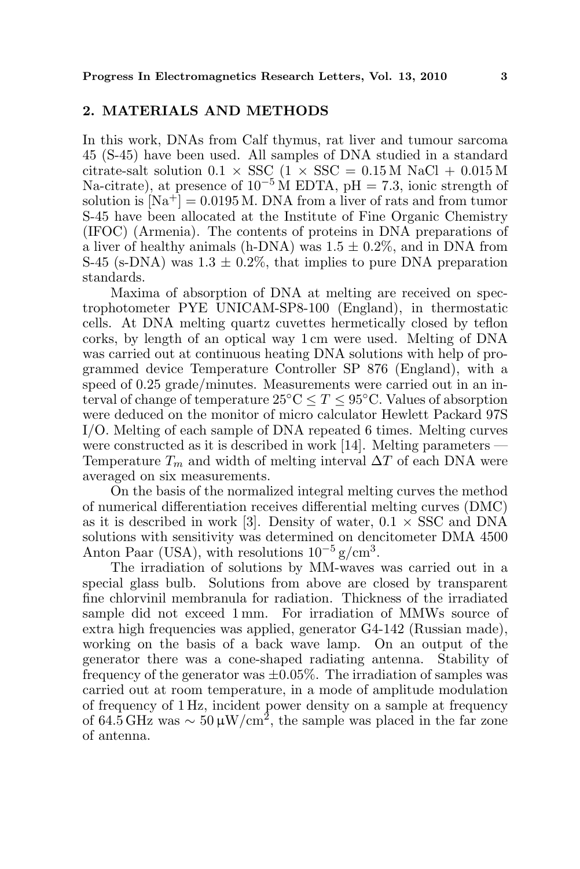### 2. MATERIALS AND METHODS

In this work, DNAs from Calf thymus, rat liver and tumour sarcoma 45 (S-45) have been used. All samples of DNA studied in a standard citrate-salt solution  $0.1 \times SSC$  ( $1 \times SSC = 0.15 M$  NaCl + 0.015 M Na-citrate), at presence of  $10^{-5}$  M EDTA, pH = 7.3, ionic strength of solution is  $[Na^+] = 0.0195 M$ . DNA from a liver of rats and from tumor S-45 have been allocated at the Institute of Fine Organic Chemistry (IFOC) (Armenia). The contents of proteins in DNA preparations of a liver of healthy animals (h-DNA) was  $1.5 \pm 0.2\%$ , and in DNA from S-45 (s-DNA) was  $1.3 \pm 0.2\%$ , that implies to pure DNA preparation standards.

Maxima of absorption of DNA at melting are received on spectrophotometer PYE UNICAM-SP8-100 (England), in thermostatic cells. At DNA melting quartz cuvettes hermetically closed by teflon corks, by length of an optical way 1 cm were used. Melting of DNA was carried out at continuous heating DNA solutions with help of programmed device Temperature Controller SP 876 (England), with a speed of 0.25 grade/minutes. Measurements were carried out in an interval of change of temperature  $25^{\circ}\text{C} \leq T \leq 95^{\circ}\text{C}$ . Values of absorption were deduced on the monitor of micro calculator Hewlett Packard 97S I/O. Melting of each sample of DNA repeated 6 times. Melting curves were constructed as it is described in work [14]. Melting parameters — Temperature  $T_m$  and width of melting interval  $\Delta T$  of each DNA were averaged on six measurements.

On the basis of the normalized integral melting curves the method of numerical differentiation receives differential melting curves (DMC) as it is described in work [3]. Density of water,  $0.1 \times SSC$  and DNA solutions with sensitivity was determined on dencitometer DMA 4500 Anton Paar (USA), with resolutions  $10^{-5}$  g/cm<sup>3</sup>.

The irradiation of solutions by MM-waves was carried out in a special glass bulb. Solutions from above are closed by transparent fine chlorvinil membranula for radiation. Thickness of the irradiated sample did not exceed 1 mm. For irradiation of MMWs source of extra high frequencies was applied, generator G4-142 (Russian made), working on the basis of a back wave lamp. On an output of the generator there was a cone-shaped radiating antenna. Stability of frequency of the generator was  $\pm 0.05\%$ . The irradiation of samples was carried out at room temperature, in a mode of amplitude modulation of frequency of 1 Hz, incident power density on a sample at frequency of 64.5 GHz was  $\sim 50 \,\mathrm{\mu W/cm^2}$ , the sample was placed in the far zone of antenna.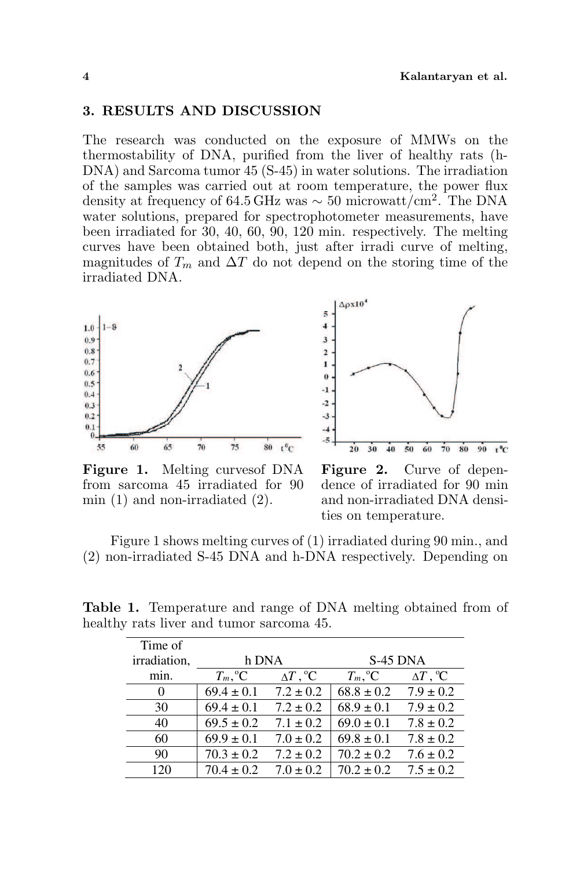### 3. RESULTS AND DISCUSSION

The research was conducted on the exposure of MMWs on the thermostability of DNA, purified from the liver of healthy rats (h-DNA) and Sarcoma tumor 45 (S-45) in water solutions. The irradiation of the samples was carried out at room temperature, the power flux density at frequency of 64.5 GHz was  $\sim 50$  microwatt/cm<sup>2</sup>. The DNA water solutions, prepared for spectrophotometer measurements, have been irradiated for 30, 40, 60, 90, 120 min. respectively. The melting curves have been obtained both, just after irradi curve of melting, magnitudes of  $T_m$  and  $\Delta T$  do not depend on the storing time of the irradiated DNA.





Figure 1. Melting curvesof DNA from sarcoma 45 irradiated for 90 min  $(1)$  and non-irradiated  $(2)$ .

Figure 2. Curve of dependence of irradiated for 90 min and non-irradiated DNA densities on temperature.

Figure 1 shows melting curves of (1) irradiated during 90 min., and (2) non-irradiated S-45 DNA and h-DNA respectively. Depending on

Table 1. Temperature and range of DNA melting obtained from of healthy rats liver and tumor sarcoma 45.

| Time of      |                    |                          |                   |                          |
|--------------|--------------------|--------------------------|-------------------|--------------------------|
| irradiation, | h DNA              |                          | $S-45$ DNA        |                          |
| min.         | $T_m, {}^{\circ}C$ | $\Delta T$ , $^{\circ}C$ | $T_m,{}^{\circ}C$ | $\Delta T$ , $^{\circ}C$ |
|              | $69.4 \pm 0.1$     | $7.2 \pm 0.2$            | $68.8 \pm 0.2$    | $7.9 \pm 0.2$            |
| 30           | $69.4 \pm 0.1$     | $7.2 \pm 0.2$            | $68.9 \pm 0.1$    | $7.9 \pm 0.2$            |
| 40           | $69.5 \pm 0.2$     | $7.1 \pm 0.2$            | $69.0 \pm 0.1$    | $7.8 \pm 0.2$            |
| 60           | $69.9 \pm 0.1$     | $7.0 \pm 0.2$            | $69.8 \pm 0.1$    | $7.8 \pm 0.2$            |
| 90           | $70.3 \pm 0.2$     | $7.2 \pm 0.2$            | $70.2 \pm 0.2$    | $7.6 \pm 0.2$            |
| 120          | $70.4 \pm 0.2$     | $7.0 \pm 0.2$            | $70.2 \pm 0.2$    | $7.5 \pm 0.2$            |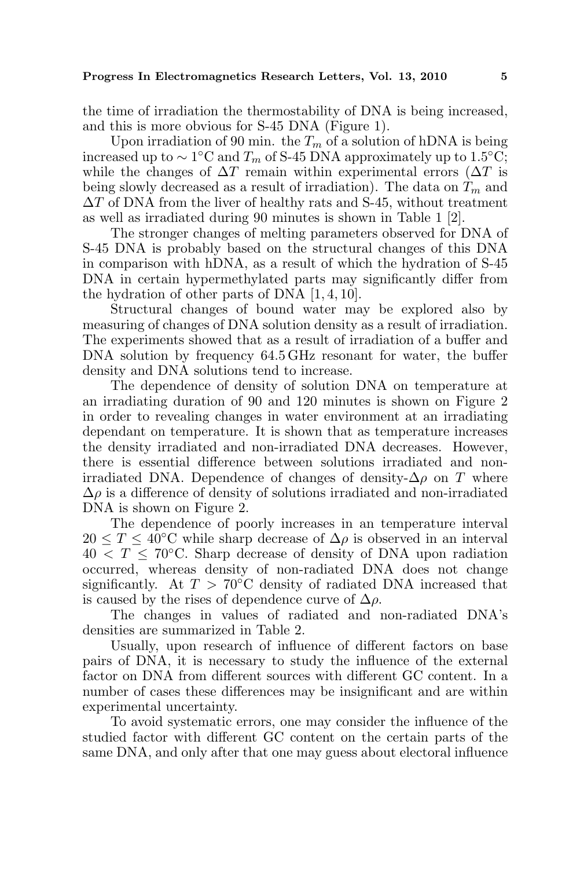the time of irradiation the thermostability of DNA is being increased, and this is more obvious for S-45 DNA (Figure 1).

Upon irradiation of 90 min. the  $T_m$  of a solution of hDNA is being increased up to  $\sim 1$ °C and  $T_m$  of S-45 DNA approximately up to 1.5°C; while the changes of  $\Delta T$  remain within experimental errors ( $\Delta T$  is being slowly decreased as a result of irradiation). The data on  $T_m$  and  $\Delta T$  of DNA from the liver of healthy rats and S-45, without treatment as well as irradiated during 90 minutes is shown in Table 1 [2].

The stronger changes of melting parameters observed for DNA of S-45 DNA is probably based on the structural changes of this DNA in comparison with hDNA, as a result of which the hydration of S-45 DNA in certain hypermethylated parts may significantly differ from the hydration of other parts of DNA [1, 4, 10].

Structural changes of bound water may be explored also by measuring of changes of DNA solution density as a result of irradiation. The experiments showed that as a result of irradiation of a buffer and DNA solution by frequency 64.5 GHz resonant for water, the buffer density and DNA solutions tend to increase.

The dependence of density of solution DNA on temperature at an irradiating duration of 90 and 120 minutes is shown on Figure 2 in order to revealing changes in water environment at an irradiating dependant on temperature. It is shown that as temperature increases the density irradiated and non-irradiated DNA decreases. However, there is essential difference between solutions irradiated and nonirradiated DNA. Dependence of changes of density- $\Delta \rho$  on T where  $\Delta \rho$  is a difference of density of solutions irradiated and non-irradiated DNA is shown on Figure 2.

The dependence of poorly increases in an temperature interval  $20 \leq T \leq 40^{\circ}$ C while sharp decrease of  $\Delta \rho$  is observed in an interval  $40 < T \leq 70^{\circ}$ C. Sharp decrease of density of DNA upon radiation occurred, whereas density of non-radiated DNA does not change significantly. At  $T > 70\degree C$  density of radiated DNA increased that is caused by the rises of dependence curve of  $\Delta \rho$ .

The changes in values of radiated and non-radiated DNA's densities are summarized in Table 2.

Usually, upon research of influence of different factors on base pairs of DNA, it is necessary to study the influence of the external factor on DNA from different sources with different GC content. In a number of cases these differences may be insignificant and are within experimental uncertainty.

To avoid systematic errors, one may consider the influence of the studied factor with different GC content on the certain parts of the same DNA, and only after that one may guess about electoral influence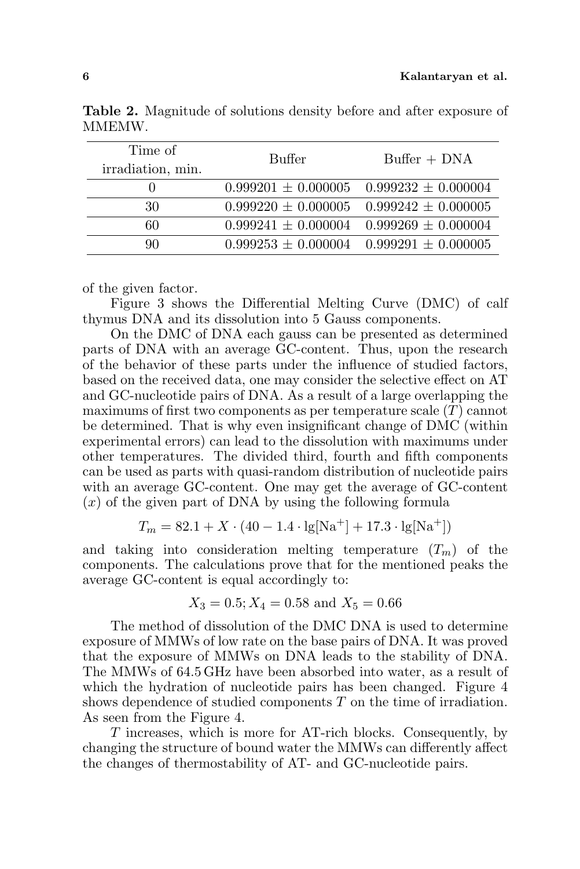| Time of<br>irradiation, min. | Buffer | $Buffer + DNA$                                  |
|------------------------------|--------|-------------------------------------------------|
|                              |        | $0.999201 \pm 0.000005$ $0.999232 \pm 0.000004$ |
| 30                           |        | $0.999220 \pm 0.000005$ $0.999242 \pm 0.000005$ |
| 60                           |        | $0.999241 \pm 0.000004$ $0.999269 \pm 0.000004$ |
| 90                           |        | $0.999253 \pm 0.000004$ $0.999291 \pm 0.000005$ |

Table 2. Magnitude of solutions density before and after exposure of MMEMW.

of the given factor.

Figure 3 shows the Differential Melting Curve (DMC) of calf thymus DNA and its dissolution into 5 Gauss components.

On the DMC of DNA each gauss can be presented as determined parts of DNA with an average GC-content. Thus, upon the research of the behavior of these parts under the influence of studied factors, based on the received data, one may consider the selective effect on AT and GC-nucleotide pairs of DNA. As a result of a large overlapping the maximums of first two components as per temperature scale  $(T)$  cannot be determined. That is why even insignificant change of DMC (within experimental errors) can lead to the dissolution with maximums under other temperatures. The divided third, fourth and fifth components can be used as parts with quasi-random distribution of nucleotide pairs with an average GC-content. One may get the average of GC-content  $(x)$  of the given part of DNA by using the following formula

$$
T_m = 82.1 + X \cdot (40 - 1.4 \cdot \text{lg}[Na^+] + 17.3 \cdot \text{lg}[Na^+])
$$

and taking into consideration melting temperature  $(T_m)$  of the components. The calculations prove that for the mentioned peaks the average GC-content is equal accordingly to:

$$
X_3 = 0.5; X_4 = 0.58
$$
 and  $X_5 = 0.66$ 

The method of dissolution of the DMC DNA is used to determine exposure of MMWs of low rate on the base pairs of DNA. It was proved that the exposure of MMWs on DNA leads to the stability of DNA. The MMWs of 64.5 GHz have been absorbed into water, as a result of which the hydration of nucleotide pairs has been changed. Figure 4 shows dependence of studied components T on the time of irradiation. As seen from the Figure 4.

T increases, which is more for AT-rich blocks. Consequently, by changing the structure of bound water the MMWs can differently affect the changes of thermostability of AT- and GC-nucleotide pairs.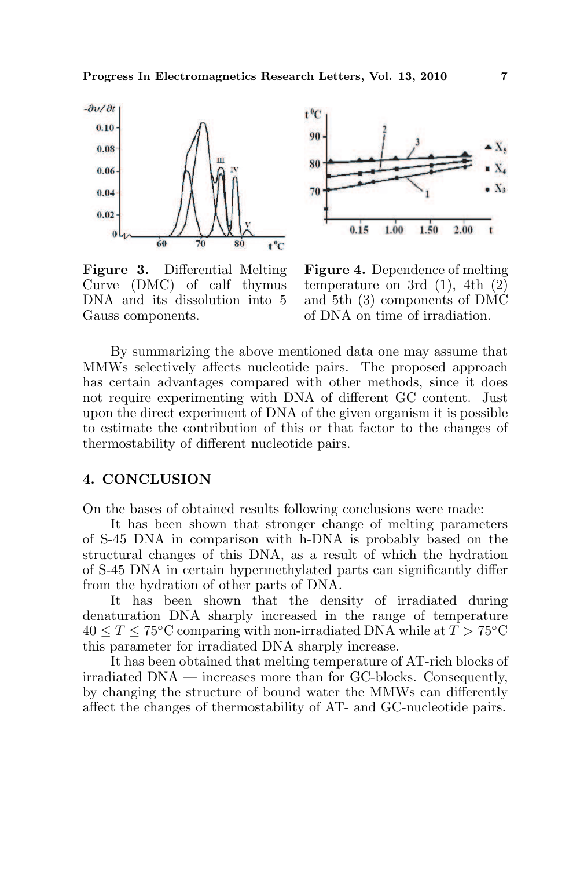

Figure 3. Differential Melting Curve (DMC) of calf thymus DNA and its dissolution into 5 Gauss components.



Figure 4. Dependence of melting temperature on 3rd  $(1)$ , 4th  $(2)$ and 5th (3) components of DMC of DNA on time of irradiation.

By summarizing the above mentioned data one may assume that MMWs selectively affects nucleotide pairs. The proposed approach has certain advantages compared with other methods, since it does not require experimenting with DNA of different GC content. Just upon the direct experiment of DNA of the given organism it is possible to estimate the contribution of this or that factor to the changes of thermostability of different nucleotide pairs.

### 4. CONCLUSION

On the bases of obtained results following conclusions were made:

It has been shown that stronger change of melting parameters of S-45 DNA in comparison with h-DNA is probably based on the structural changes of this DNA, as a result of which the hydration of S-45 DNA in certain hypermethylated parts can significantly differ from the hydration of other parts of DNA.

It has been shown that the density of irradiated during denaturation DNA sharply increased in the range of temperature  $40 \leq T \leq 75^{\circ}$ C comparing with non-irradiated DNA while at  $T > 75^{\circ}$ C this parameter for irradiated DNA sharply increase.

It has been obtained that melting temperature of AT-rich blocks of  $i$ irradiated  $DNA$  — increases more than for GC-blocks. Consequently, by changing the structure of bound water the MMWs can differently affect the changes of thermostability of AT- and GC-nucleotide pairs.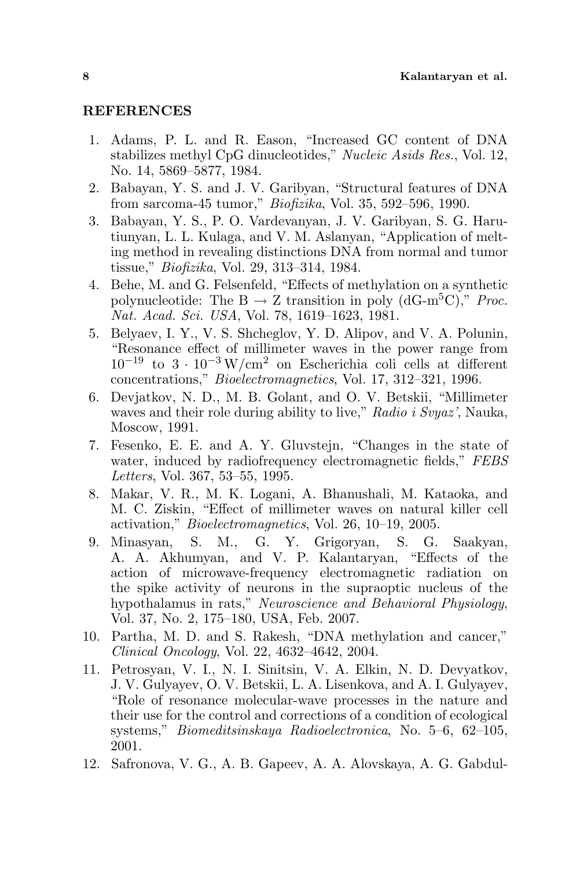### **REFERENCES**

- 1. Adams, P. L. and R. Eason, "Increased GC content of DNA stabilizes methyl CpG dinucleotides," Nucleic Asids Res., Vol. 12, No. 14, 5869–5877, 1984.
- 2. Babayan, Y. S. and J. V. Garibyan, "Structural features of DNA from sarcoma-45 tumor," Biofizika, Vol. 35, 592–596, 1990.
- 3. Babayan, Y. S., P. O. Vardevanyan, J. V. Garibyan, S. G. Harutiunyan, L. L. Kulaga, and V. M. Aslanyan, "Application of melting method in revealing distinctions DNA from normal and tumor tissue," Biofizika, Vol. 29, 313–314, 1984.
- 4. Behe, M. and G. Felsenfeld, "Effects of methylation on a synthetic polynucleotide: The B  $\rightarrow$  Z transition in poly (dG-m<sup>5</sup>C)," Proc. Nat. Acad. Sci. USA, Vol. 78, 1619–1623, 1981.
- 5. Belyaev, I. Y., V. S. Shcheglov, Y. D. Alipov, and V. A. Polunin, "Resonance effect of millimeter waves in the power range from  $10^{-19}$  to  $3 \cdot 10^{-3}$  W/cm<sup>2</sup> on Escherichia coli cells at different concentrations," Bioelectromagnetics, Vol. 17, 312–321, 1996.
- 6. Devjatkov, N. D., M. B. Golant, and O. V. Betskii, "Millimeter waves and their role during ability to live," Radio i Svyaz', Nauka, Moscow, 1991.
- 7. Fesenko, E. E. and A. Y. Gluvstejn, "Changes in the state of water, induced by radiofrequency electromagnetic fields," FEBS Letters, Vol. 367, 53–55, 1995.
- 8. Makar, V. R., M. K. Logani, A. Bhanushali, M. Kataoka, and M. C. Ziskin, "Effect of millimeter waves on natural killer cell activation," Bioelectromagnetics, Vol. 26, 10–19, 2005.
- 9. Minasyan, S. M., G. Y. Grigoryan, S. G. Saakyan, A. A. Akhumyan, and V. P. Kalantaryan, "Effects of the action of microwave-frequency electromagnetic radiation on the spike activity of neurons in the supraoptic nucleus of the hypothalamus in rats," Neuroscience and Behavioral Physiology, Vol. 37, No. 2, 175–180, USA, Feb. 2007.
- 10. Partha, M. D. and S. Rakesh, "DNA methylation and cancer," Clinical Oncology, Vol. 22, 4632–4642, 2004.
- 11. Petrosyan, V. I., N. I. Sinitsin, V. A. Elkin, N. D. Devyatkov, J. V. Gulyayev, O. V. Betskii, L. A. Lisenkova, and A. I. Gulyayev, "Role of resonance molecular-wave processes in the nature and their use for the control and corrections of a condition of ecological systems," Biomeditsinskaya Radioelectronica, No. 5–6, 62–105, 2001.
- 12. Safronova, V. G., A. B. Gapeev, A. A. Alovskaya, A. G. Gabdul-